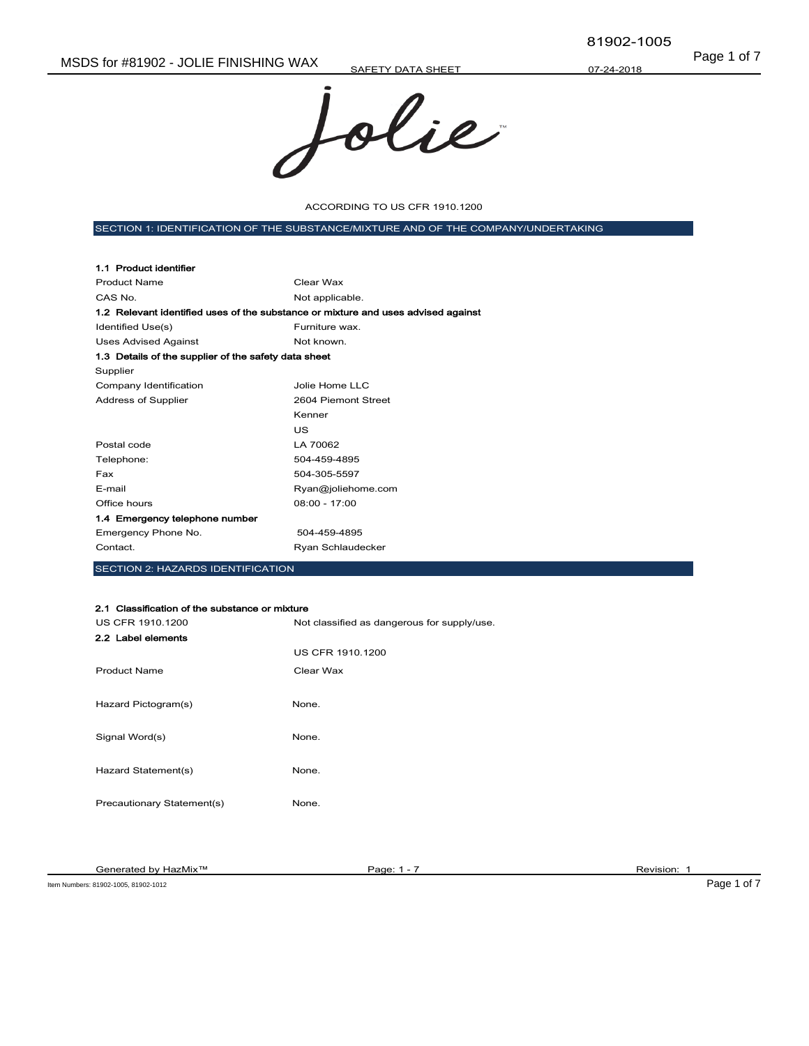Page 1 of 7 MSDS for #81902 - JOLIE FINISHING WAX

SAFETY DATA SHEET



ACCORDING TO US CFR 1910.1200

SECTION 1: IDENTIFICATION OF THE SUBSTANCE/MIXTURE AND OF THE COMPANY/UNDERTAKING

| 1.1 Product identifier                                                            |                     |
|-----------------------------------------------------------------------------------|---------------------|
| <b>Product Name</b>                                                               | Clear Wax           |
| CAS No.                                                                           | Not applicable.     |
| 1.2 Relevant identified uses of the substance or mixture and uses advised against |                     |
| Identified Use(s)                                                                 | Furniture wax.      |
| <b>Uses Advised Against</b>                                                       | Not known.          |
| 1.3 Details of the supplier of the safety data sheet                              |                     |
| Supplier                                                                          |                     |
| Company Identification                                                            | Jolie Home LLC      |
| Address of Supplier                                                               | 2604 Piemont Street |
|                                                                                   | Kenner              |
|                                                                                   | US                  |
| Postal code                                                                       | LA 70062            |
| Telephone:                                                                        | 504-459-4895        |
| Fax                                                                               | 504-305-5597        |
| E-mail                                                                            | Ryan@joliehome.com  |
| Office hours                                                                      | $08:00 - 17:00$     |
| 1.4 Emergency telephone number                                                    |                     |
| Emergency Phone No.                                                               | 504-459-4895        |
| Contact.                                                                          | Ryan Schlaudecker   |

SECTION 2: HAZARDS IDENTIFICATION

#### 2.1 Classification of the substance or mixture

| US CFR 1910.1200           | Not classified as dangerous for supply/use. |
|----------------------------|---------------------------------------------|
| 2.2 Label elements         |                                             |
|                            | <b>US CFR 1910.1200</b>                     |
| <b>Product Name</b>        | Clear Wax                                   |
|                            |                                             |
| Hazard Pictogram(s)        | None.                                       |
|                            |                                             |
| Signal Word(s)             | None.                                       |
|                            |                                             |
| Hazard Statement(s)        | None.                                       |
|                            |                                             |
| Precautionary Statement(s) | None.                                       |

Item Numbers: 81902-1005, 81902-1012 **Page 1 of 7**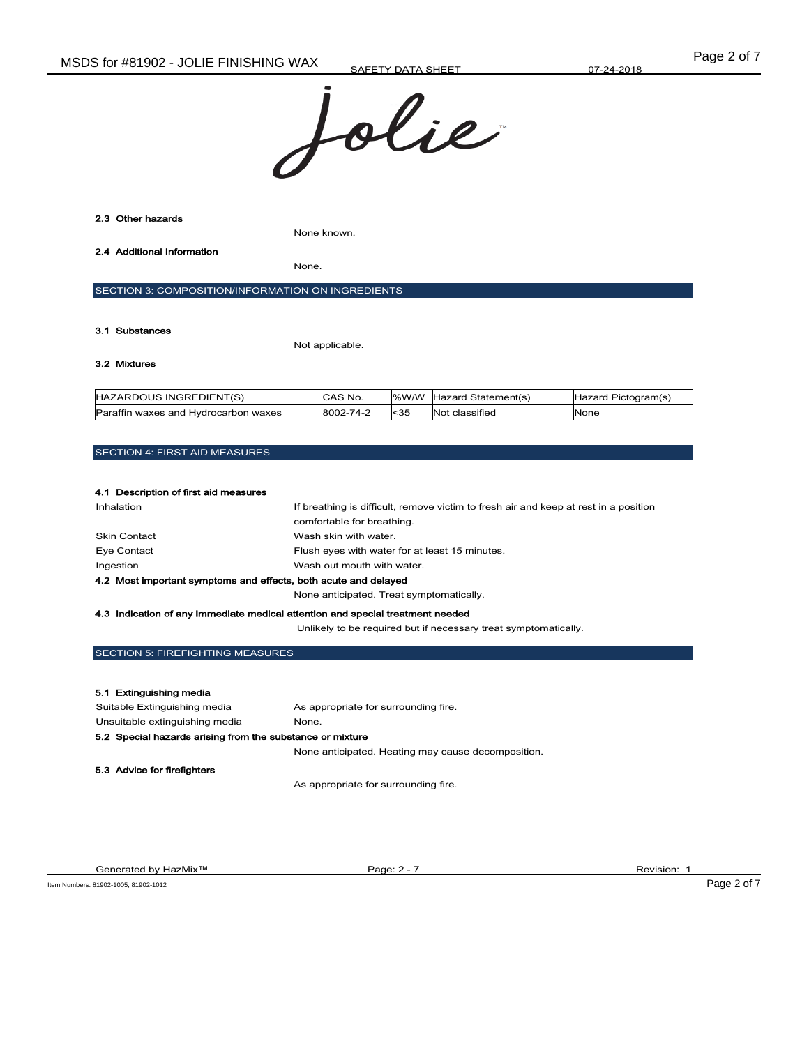



#### 3.1 Substances

Not applicable.

### 3.2 Mixtures

| HAZARDOUS INGREDIENT(S)              | CAS No.   |          | %W/W Hazard Statement(s) | Hazard Pictogram(s) |
|--------------------------------------|-----------|----------|--------------------------|---------------------|
| Paraffin waxes and Hydrocarbon waxes | 8002-74-2 | $ $ < 35 | Not classified           | None                |

#### SECTION 4: FIRST AID MEASURES

#### 4.1 Description of first aid measures

| Inhalation                                                      | If breathing is difficult, remove victim to fresh air and keep at rest in a position |  |
|-----------------------------------------------------------------|--------------------------------------------------------------------------------------|--|
|                                                                 | comfortable for breathing.                                                           |  |
| <b>Skin Contact</b>                                             | Wash skin with water.                                                                |  |
| Eye Contact                                                     | Flush eyes with water for at least 15 minutes.                                       |  |
| Ingestion                                                       | Wash out mouth with water.                                                           |  |
| 4.2 Most important symptoms and effects, both acute and delayed |                                                                                      |  |
|                                                                 | None anticipated. Treat symptomatically.                                             |  |

#### 4.3 Indication of any immediate medical attention and special treatment needed

Unlikely to be required but if necessary treat symptomatically.

## SECTION 5: FIREFIGHTING MEASURES

| 5.1 Extinguishing media                                   |                                                    |  |
|-----------------------------------------------------------|----------------------------------------------------|--|
| Suitable Extinguishing media                              | As appropriate for surrounding fire.               |  |
| Unsuitable extinguishing media                            | None.                                              |  |
| 5.2 Special hazards arising from the substance or mixture |                                                    |  |
|                                                           | None anticipated. Heating may cause decomposition. |  |
| 5.3 Advice for firefighters                               |                                                    |  |
|                                                           | As appropriate for surrounding fire.               |  |

Generated by HazMix<sup>™</sup> Page: 2 - 7 Revision: 1 Revision: 1 Revision: 1 Revision: 1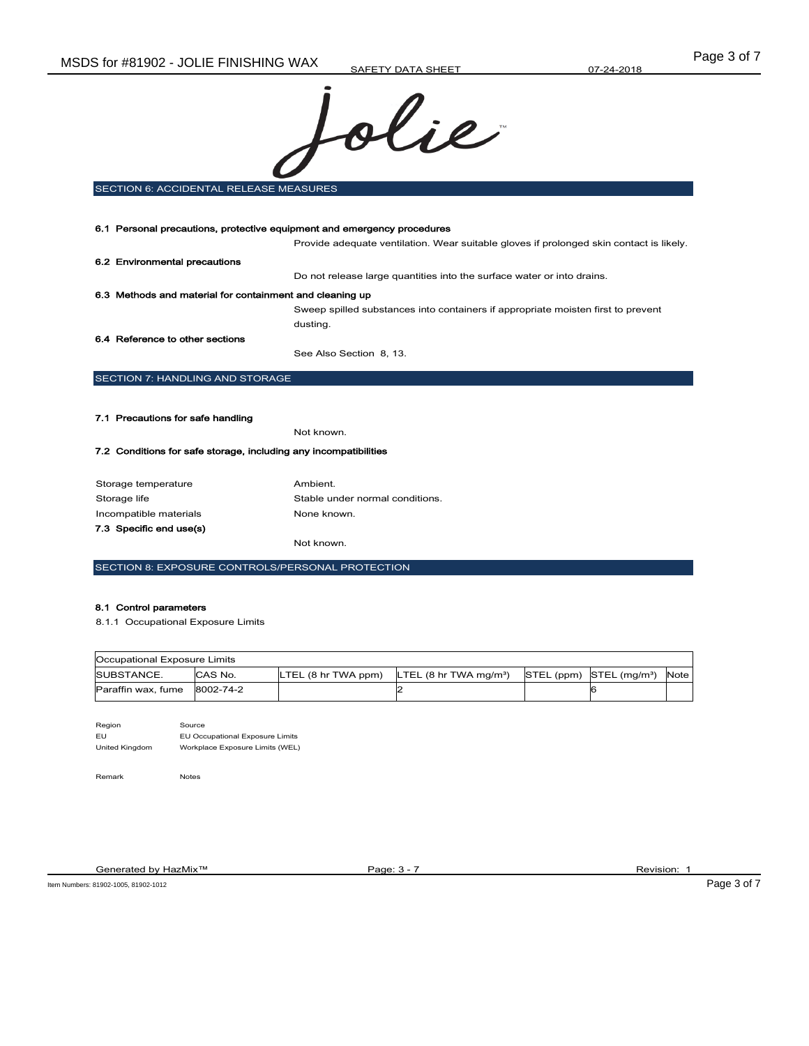

SECTION 6: ACCIDENTAL RELEASE MEASURES

| 6.1 Personal precautions, protective equipment and emergency procedures |                                                                                         |  |
|-------------------------------------------------------------------------|-----------------------------------------------------------------------------------------|--|
|                                                                         | Provide adequate ventilation. Wear suitable gloves if prolonged skin contact is likely. |  |
| 6.2 Environmental precautions                                           |                                                                                         |  |
|                                                                         | Do not release large quantities into the surface water or into drains.                  |  |
| 6.3 Methods and material for containment and cleaning up                |                                                                                         |  |
|                                                                         | Sweep spilled substances into containers if appropriate moisten first to prevent        |  |
|                                                                         | dusting.                                                                                |  |
| 6.4 Reference to other sections                                         |                                                                                         |  |
|                                                                         | See Also Section 8, 13.                                                                 |  |
| <b>SECTION 7: HANDLING AND STORAGE</b>                                  |                                                                                         |  |
|                                                                         |                                                                                         |  |
| 7.1 Precautions for safe handling                                       |                                                                                         |  |
|                                                                         | Not known.                                                                              |  |
| 7.2 Conditions for safe storage, including any incompatibilities        |                                                                                         |  |
|                                                                         |                                                                                         |  |

## Storage temperature **Ambient.** Storage life Stable under normal conditions. Incompatible materials **None known**. 7.3 Specific end use(s) Not known.

SECTION 8: EXPOSURE CONTROLS/PERSONAL PROTECTION

### 8.1 Control parameters

8.1.1 Occupational Exposure Limits

| Occupational Exposure Limits |         |                     |                                                         |                                          |      |
|------------------------------|---------|---------------------|---------------------------------------------------------|------------------------------------------|------|
| <b>ISUBSTANCE.</b>           | CAS No. | LTEL (8 hr TWA ppm) | <b>LTEL</b> $(8 \text{ hr} \text{ TWA} \text{ ma/m}^3)$ | $STEL$ (ppm) $STEL$ (mg/m <sup>3</sup> ) | Note |
| Paraffin wax. fume 8002-74-2 |         |                     |                                                         |                                          |      |

| Region         | Source                          |
|----------------|---------------------------------|
| Fυ             | EU Occupational Exposure Limits |
| United Kinadom | Workplace Exposure Limits (WEL) |

Remark Notes

Generated by HazMix™ Page: 3 - 7 Revision: 1 Revision: 1 Revision: 1

Item Numbers: 81902-1005, 81902-1012 Page 3 of 7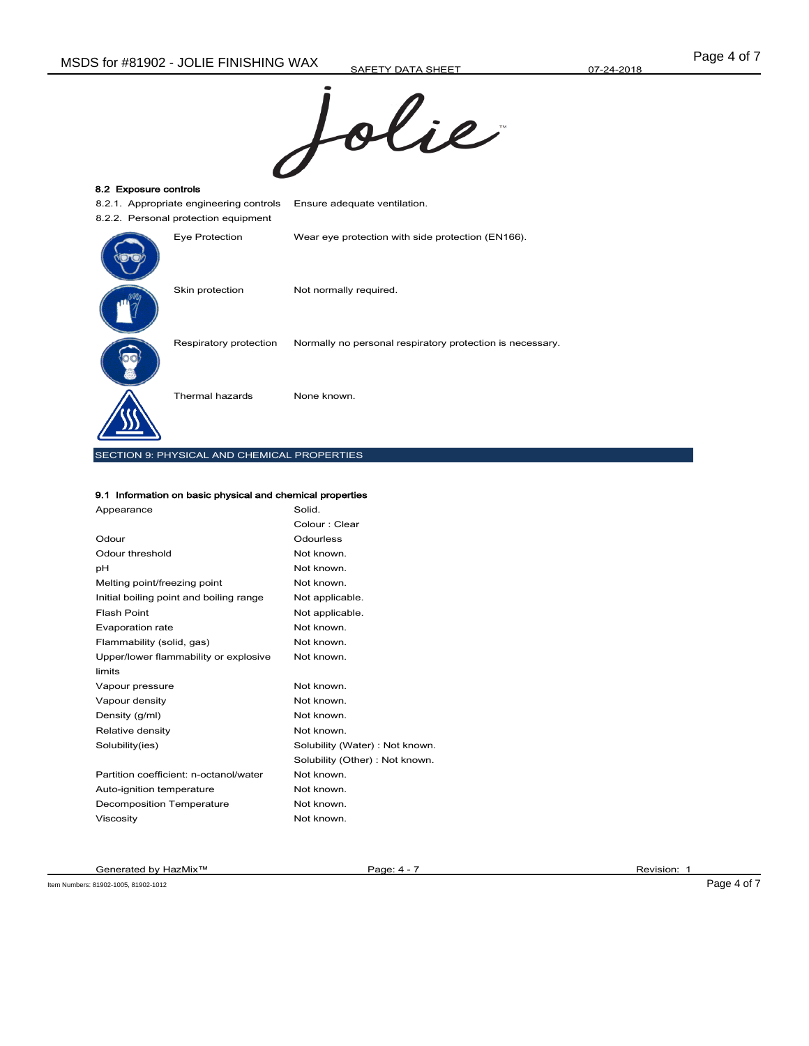

| 8.2 Exposure controls                       |                                                           |  |  |  |  |
|---------------------------------------------|-----------------------------------------------------------|--|--|--|--|
| 8.2.1. Appropriate engineering controls     | Ensure adequate ventilation.                              |  |  |  |  |
| 8.2.2. Personal protection equipment        |                                                           |  |  |  |  |
| Eye Protection                              | Wear eye protection with side protection (EN166).         |  |  |  |  |
| Skin protection                             | Not normally required.                                    |  |  |  |  |
| Respiratory protection                      | Normally no personal respiratory protection is necessary. |  |  |  |  |
| Thermal hazards                             | None known.                                               |  |  |  |  |
| SECTION 9: PHYSICAL AND CHEMICAL PROPERTIES |                                                           |  |  |  |  |

#### 9.1 Information on basic physical and chemical properties

| Appearance                              | Solid.                          |
|-----------------------------------------|---------------------------------|
|                                         | Colour : Clear                  |
| Odour                                   | Odourless                       |
| Odour threshold                         | Not known.                      |
| рH                                      | Not known.                      |
| Melting point/freezing point            | Not known.                      |
| Initial boiling point and boiling range | Not applicable.                 |
| Flash Point                             | Not applicable.                 |
| Evaporation rate                        | Not known.                      |
| Flammability (solid, gas)               | Not known.                      |
| Upper/lower flammability or explosive   | Not known.                      |
| limits                                  |                                 |
| Vapour pressure                         | Not known.                      |
| Vapour density                          | Not known.                      |
| Density (g/ml)                          | Not known.                      |
| Relative density                        | Not known.                      |
| Solubility(ies)                         | Solubility (Water): Not known.  |
|                                         | Solubility (Other) : Not known. |
| Partition coefficient: n-octanol/water  | Not known.                      |
| Auto-ignition temperature               | Not known.                      |
| Decomposition Temperature               | Not known.                      |
| Viscosity                               | Not known.                      |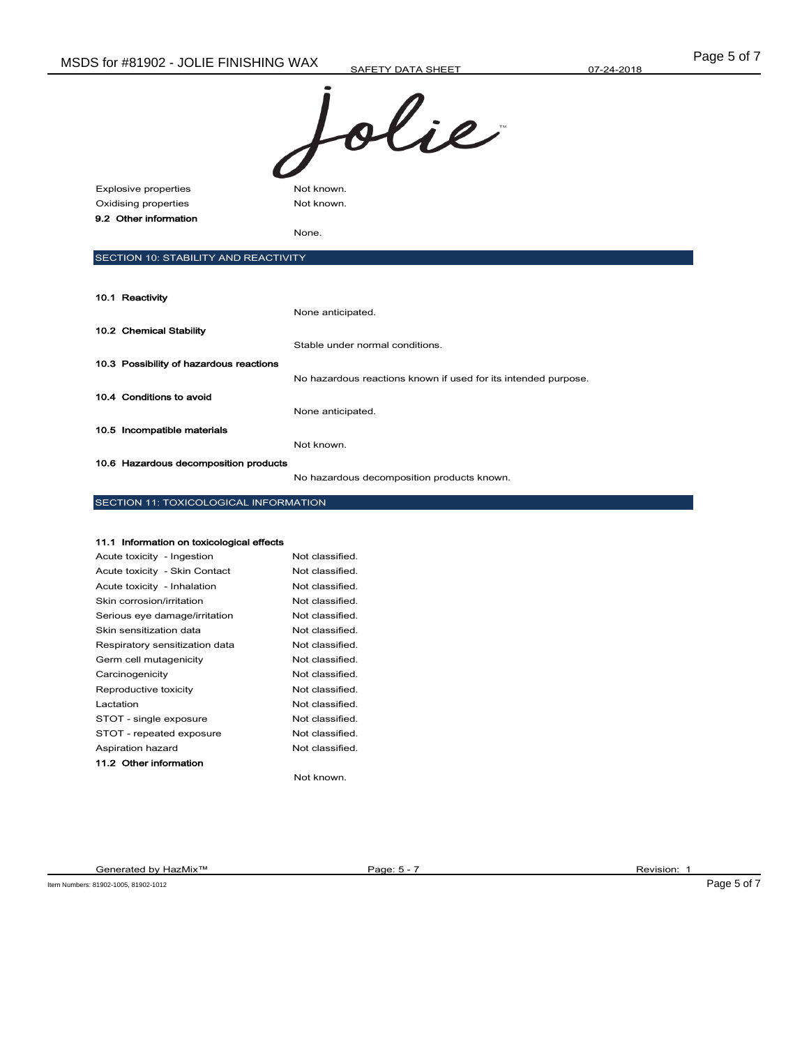Explosive properties Not known. Oxidising properties Not known. 9.2 Other information

None.

# SECTION 10: STABILITY AND REACTIVITY

| 10.1 Reactivity                         |                                                                |
|-----------------------------------------|----------------------------------------------------------------|
|                                         | None anticipated.                                              |
| 10.2 Chemical Stability                 |                                                                |
|                                         | Stable under normal conditions.                                |
| 10.3 Possibility of hazardous reactions |                                                                |
|                                         | No hazardous reactions known if used for its intended purpose. |
| 10.4 Conditions to avoid                |                                                                |
|                                         | None anticipated.                                              |
| 10.5 Incompatible materials             |                                                                |
|                                         | Not known.                                                     |
| 10.6 Hazardous decomposition products   |                                                                |

No hazardous decomposition products known.

## SECTION 11: TOXICOLOGICAL INFORMATION

#### 11.1 Information on toxicological effects

| Acute toxicity - Ingestion     | Not classified. |
|--------------------------------|-----------------|
| Acute toxicity - Skin Contact  | Not classified. |
| Acute toxicity - Inhalation    | Not classified. |
| Skin corrosion/irritation      | Not classified. |
| Serious eye damage/irritation  | Not classified. |
| Skin sensitization data        | Not classified. |
| Respiratory sensitization data | Not classified. |
| Germ cell mutagenicity         | Not classified. |
| Carcinogenicity                | Not classified. |
| Reproductive toxicity          | Not classified. |
| Lactation                      | Not classified. |
| STOT - single exposure         | Not classified. |
| STOT - repeated exposure       | Not classified. |
| Aspiration hazard              | Not classified. |
| 11.2 Other information         |                 |
|                                | Not known.      |

Generated by HazMix™ Page: 5 - 7 Revision: 1

Item Numbers: 81902-1005, 81902-1012 Page 5 of 7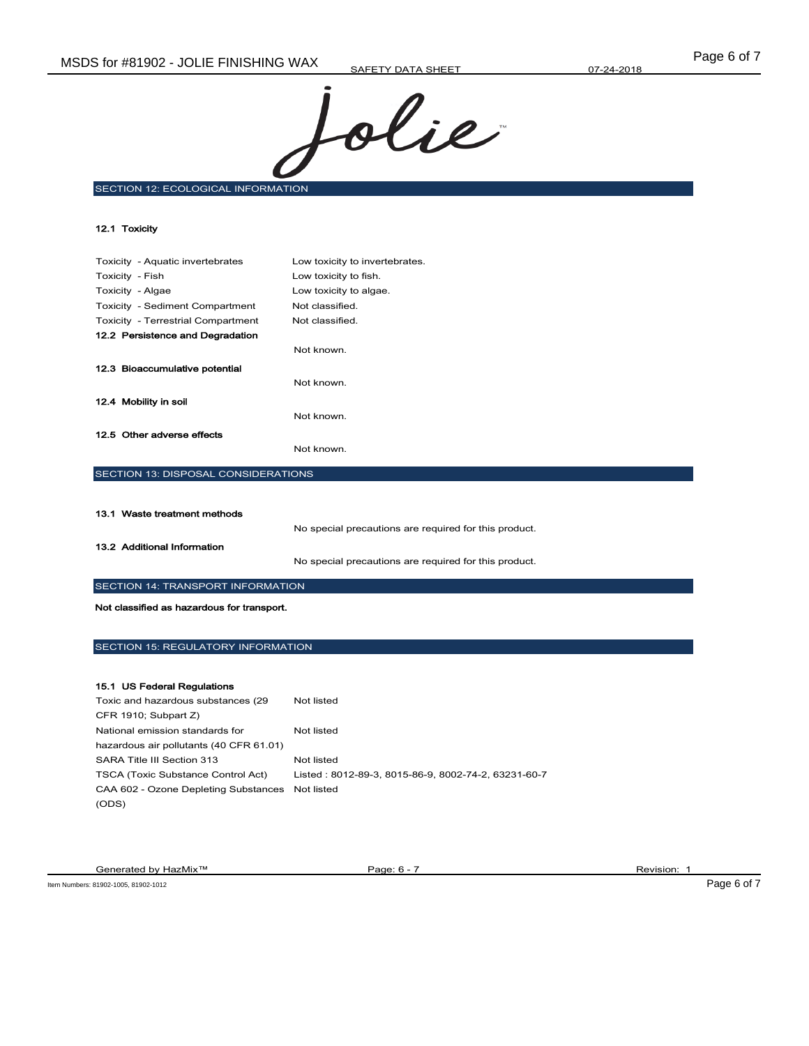

SECTION 12: ECOLOGICAL INFORMATION

| 12.1 Toxicity                       |                                |  |
|-------------------------------------|--------------------------------|--|
|                                     |                                |  |
| Toxicity - Aquatic invertebrates    | Low toxicity to invertebrates. |  |
| Toxicity - Fish                     | Low toxicity to fish.          |  |
| Toxicity - Algae                    | Low toxicity to algae.         |  |
| Toxicity - Sediment Compartment     | Not classified.                |  |
| Toxicity - Terrestrial Compartment  | Not classified.                |  |
| 12.2 Persistence and Degradation    |                                |  |
|                                     | Not known.                     |  |
| 12.3 Bioaccumulative potential      |                                |  |
|                                     | Not known.                     |  |
| 12.4 Mobility in soil               |                                |  |
|                                     | Not known.                     |  |
| 12.5 Other adverse effects          |                                |  |
|                                     | Not known.                     |  |
| SECTION 13: DISPOSAL CONSIDERATIONS |                                |  |
|                                     |                                |  |

| 13.1 Waste treatment methods |                                                       |
|------------------------------|-------------------------------------------------------|
|                              | No special precautions are required for this product. |
| 13.2 Additional Information  |                                                       |
|                              | No special precautions are required for this product. |

SECTION 14: TRANSPORT INFORMATION

Not classified as hazardous for transport.

# SECTION 15: REGULATORY INFORMATION

### 15.1 US Federal Regulations

| Toxic and hazardous substances (29)             | Not listed                                          |
|-------------------------------------------------|-----------------------------------------------------|
| CFR 1910; Subpart Z)                            |                                                     |
| National emission standards for                 | Not listed                                          |
| hazardous air pollutants (40 CFR 61.01)         |                                                     |
| SARA Title III Section 313                      | Not listed                                          |
| <b>TSCA (Toxic Substance Control Act)</b>       | Listed: 8012-89-3, 8015-86-9, 8002-74-2, 63231-60-7 |
| CAA 602 - Ozone Depleting Substances Not listed |                                                     |
| (ODS)                                           |                                                     |

Generated by HazMix<sup>™</sup> Page: 6 - 7 Page: 6 - 7 Revision: 1

Item Numbers: 81902-1005, 81902-1012 Page 6 of 7